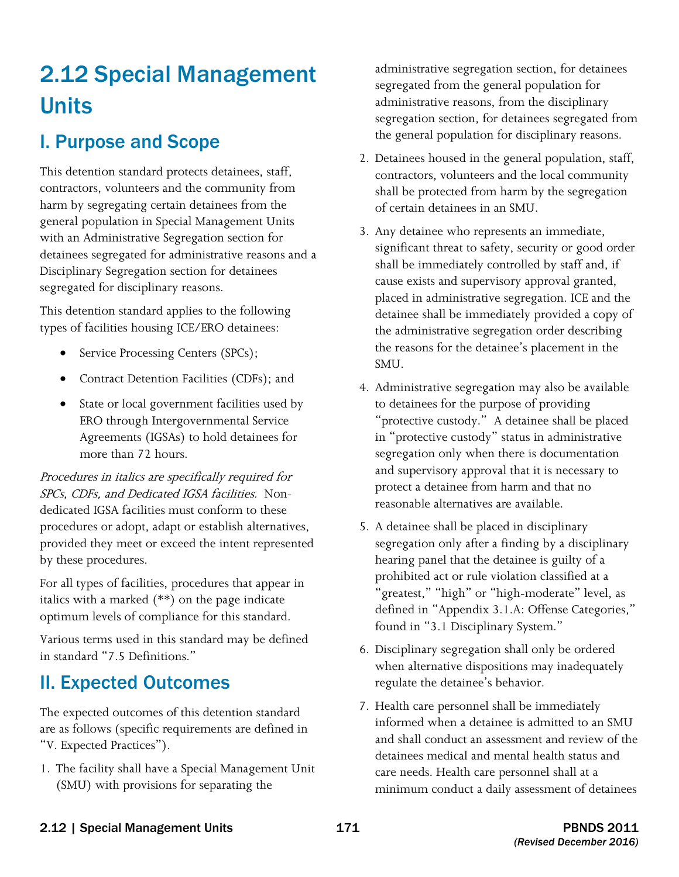# 2.12 Special Management Units

## I. Purpose and Scope

This detention standard protects detainees, staff, contractors, volunteers and the community from harm by segregating certain detainees from the general population in Special Management Units with an Administrative Segregation section for detainees segregated for administrative reasons and a Disciplinary Segregation section for detainees segregated for disciplinary reasons.

This detention standard applies to the following types of facilities housing ICE/ERO detainees:

- Service Processing Centers (SPCs);
- Contract Detention Facilities (CDFs); and
- State or local government facilities used by ERO through Intergovernmental Service Agreements (IGSAs) to hold detainees for more than 72 hours.

 SPCs, CDFs, and Dedicated IGSA facilities. Non-Procedures in italics are specifically required for dedicated IGSA facilities must conform to these procedures or adopt, adapt or establish alternatives, provided they meet or exceed the intent represented by these procedures.

For all types of facilities, procedures that appear in italics with a marked (\*\*) on the page indicate optimum levels of compliance for this standard.

Various terms used in this standard may be defined in standard "7.5 Definitions."

## II. Expected Outcomes

The expected outcomes of this detention standard are as follows (specific requirements are defined in "V. Expected Practices").

1. The facility shall have a Special Management Unit (SMU) with provisions for separating the

administrative segregation section, for detainees segregated from the general population for administrative reasons, from the disciplinary segregation section, for detainees segregated from the general population for disciplinary reasons.

- contractors, volunteers and the local community 2. Detainees housed in the general population, staff, shall be protected from harm by the segregation of certain detainees in an SMU.
- detainee shall be immediately provided a copy of SMU. 3. Any detainee who represents an immediate, significant threat to safety, security or good order shall be immediately controlled by staff and, if cause exists and supervisory approval granted, placed in administrative segregation. ICE and the the administrative segregation order describing the reasons for the detainee's placement in the
- reasonable alternatives are available. 4. Administrative segregation may also be available to detainees for the purpose of providing "protective custody." A detainee shall be placed in "protective custody" status in administrative segregation only when there is documentation and supervisory approval that it is necessary to protect a detainee from harm and that no
- 5. A detainee shall be placed in disciplinary segregation only after a finding by a disciplinary hearing panel that the detainee is guilty of a prohibited act or rule violation classified at a "greatest," "high" or "high-moderate" level, as defined in "Appendix 3.1.A: Offense Categories," found in "3.1 Disciplinary System."
- 6. Disciplinary segregation shall only be ordered when alternative dispositions may inadequately regulate the detainee's behavior.
- 7. Health care personnel shall be immediately informed when a detainee is admitted to an SMU and shall conduct an assessment and review of the detainees medical and mental health status and care needs. Health care personnel shall at a minimum conduct a daily assessment of detainees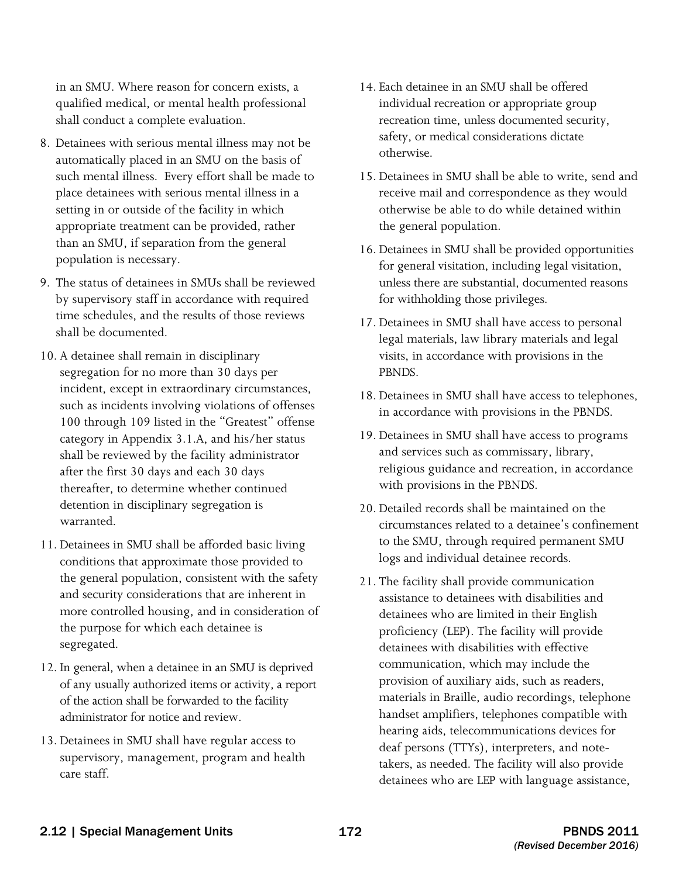in an SMU. Where reason for concern exists, a qualified medical, or mental health professional shall conduct a complete evaluation.

- 8. Detainees with serious mental illness may not be automatically placed in an SMU on the basis of such mental illness. Every effort shall be made to place detainees with serious mental illness in a setting in or outside of the facility in which appropriate treatment can be provided, rather than an SMU, if separation from the general population is necessary.
- time schedules, and the results of those reviews 9. The status of detainees in SMUs shall be reviewed by supervisory staff in accordance with required shall be documented.
- 10. A detainee shall remain in disciplinary segregation for no more than 30 days per incident, except in extraordinary circumstances, such as incidents involving violations of offenses 100 through 109 listed in the "Greatest" offense category in Appendix 3.1.A, and his/her status shall be reviewed by the facility administrator after the first 30 days and each 30 days thereafter, to determine whether continued detention in disciplinary segregation is warranted.
- the general population, consistent with the safety 11. Detainees in SMU shall be afforded basic living conditions that approximate those provided to and security considerations that are inherent in more controlled housing, and in consideration of the purpose for which each detainee is segregated.
- 12. In general, when a detainee in an SMU is deprived of any usually authorized items or activity, a report of the action shall be forwarded to the facility administrator for notice and review.
- 13. Detainees in SMU shall have regular access to supervisory, management, program and health care staff.
- 14. Each detainee in an SMU shall be offered individual recreation or appropriate group recreation time, unless documented security, safety, or medical considerations dictate otherwise.
- 15. Detainees in SMU shall be able to write, send and receive mail and correspondence as they would otherwise be able to do while detained within the general population.
- 16. Detainees in SMU shall be provided opportunities for general visitation, including legal visitation, unless there are substantial, documented reasons for withholding those privileges.
- 17. Detainees in SMU shall have access to personal legal materials, law library materials and legal visits, in accordance with provisions in the PBNDS.
- 18. Detainees in SMU shall have access to telephones, in accordance with provisions in the PBNDS.
- 19. Detainees in SMU shall have access to programs and services such as commissary, library, religious guidance and recreation, in accordance with provisions in the PBNDS.
- 20. Detailed records shall be maintained on the circumstances related to a detainee's confinement to the SMU, through required permanent SMU logs and individual detainee records.
- 21. The facility shall provide communication assistance to detainees with disabilities and detainees who are limited in their English proficiency (LEP). The facility will provide detainees with disabilities with effective communication, which may include the provision of auxiliary aids, such as readers, materials in Braille, audio recordings, telephone handset amplifiers, telephones compatible with hearing aids, telecommunications devices for deaf persons (TTYs), interpreters, and notetakers, as needed. The facility will also provide detainees who are LEP with language assistance,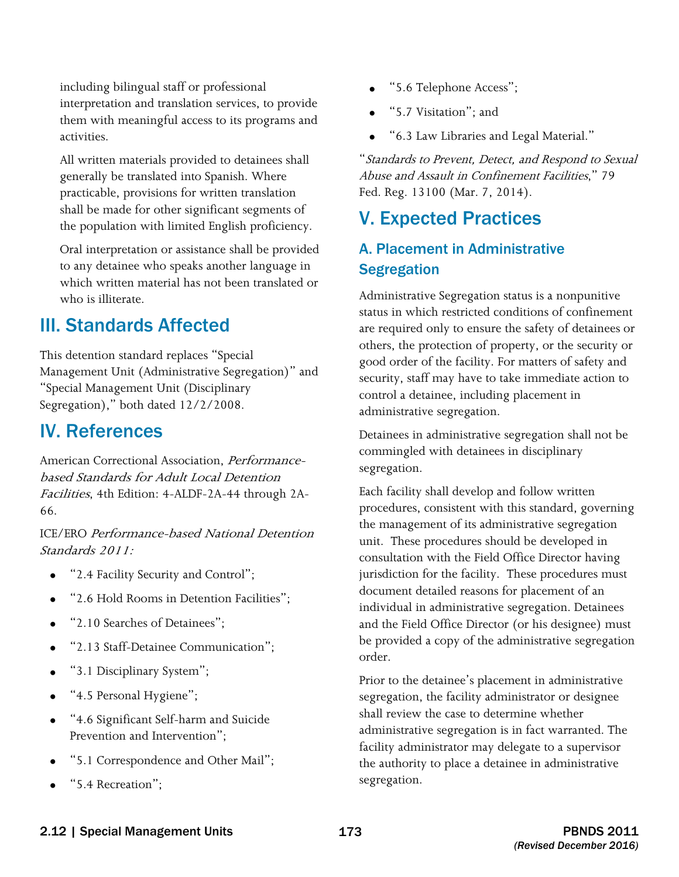including bilingual staff or professional interpretation and translation services, to provide them with meaningful access to its programs and activities.

All written materials provided to detainees shall generally be translated into Spanish. Where practicable, provisions for written translation shall be made for other significant segments of the population with limited English proficiency.

Oral interpretation or assistance shall be provided to any detainee who speaks another language in which written material has not been translated or who is illiterate.

## III. Standards Affected

This detention standard replaces "Special Management Unit (Administrative Segregation)" and "Special Management Unit (Disciplinary Segregation)," both dated 12/2/2008.

## IV. References

American Correctional Association, Performancebased Standards for Adult Local Detention Facilities, 4th Edition: 4-ALDF-2A-44 through 2A-66.

 Standards 2011: ICE/ERO Performance-based National Detention

- "2.4 Facility Security and Control";
- "2.6 Hold Rooms in Detention Facilities";
- "2.10 Searches of Detainees";
- "2.13 Staff-Detainee Communication";
- "3.1 Disciplinary System";
- "4.5 Personal Hygiene";
- • "4.6 Significant Self-harm and Suicide Prevention and Intervention";
- "5.1 Correspondence and Other Mail";
- "5.4 Recreation":
- "5.6 Telephone Access";
- "5.7 Visitation"; and
- • "6.3 Law Libraries and Legal Material."

"Standards to Prevent, Detect, and Respond to Sexual Abuse and Assault in Confinement Facilities," 79 Fed. Reg. 13100 (Mar. 7, 2014).

## V. Expected Practices

## A. Placement in Administrative **Segregation**

 are required only to ensure the safety of detainees or others, the protection of property, or the security or security, staff may have to take immediate action to Administrative Segregation status is a nonpunitive status in which restricted conditions of confinement good order of the facility. For matters of safety and control a detainee, including placement in administrative segregation.

Detainees in administrative segregation shall not be commingled with detainees in disciplinary segregation.

Each facility shall develop and follow written procedures, consistent with this standard, governing the management of its administrative segregation unit. These procedures should be developed in consultation with the Field Office Director having jurisdiction for the facility. These procedures must document detailed reasons for placement of an individual in administrative segregation. Detainees and the Field Office Director (or his designee) must be provided a copy of the administrative segregation order.

 facility administrator may delegate to a supervisor Prior to the detainee's placement in administrative segregation, the facility administrator or designee shall review the case to determine whether administrative segregation is in fact warranted. The the authority to place a detainee in administrative segregation.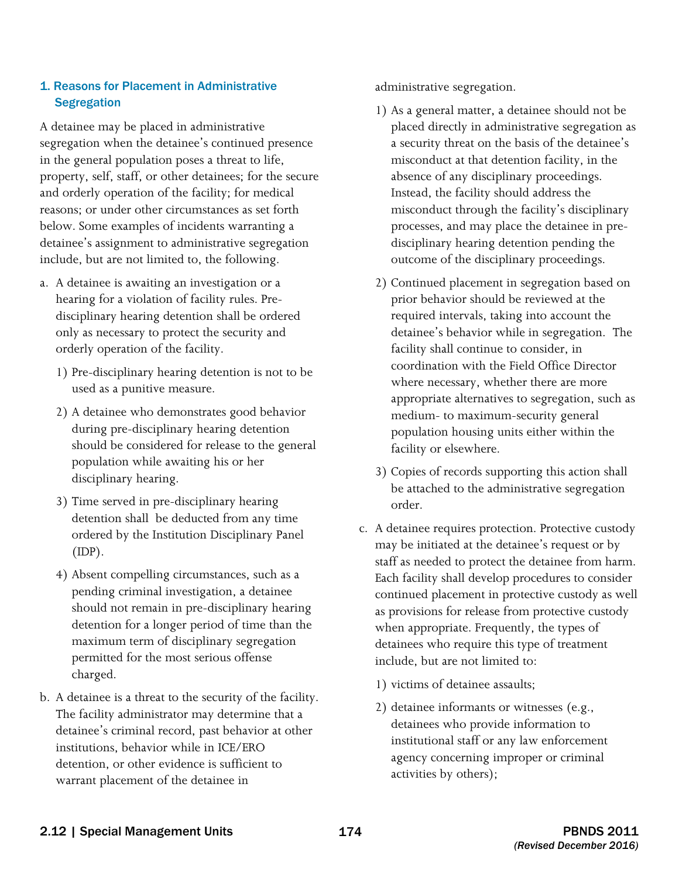#### 1. Reasons for Placement in Administrative **Segregation**

A detainee may be placed in administrative segregation when the detainee's continued presence in the general population poses a threat to life, property, self, staff, or other detainees; for the secure and orderly operation of the facility; for medical reasons; or under other circumstances as set forth below. Some examples of incidents warranting a detainee's assignment to administrative segregation include, but are not limited to, the following.

- a. A detainee is awaiting an investigation or a hearing for a violation of facility rules. Predisciplinary hearing detention shall be ordered only as necessary to protect the security and orderly operation of the facility.
	- 1) Pre-disciplinary hearing detention is not to be used as a punitive measure.
	- disciplinary hearing. 2) A detainee who demonstrates good behavior during pre-disciplinary hearing detention should be considered for release to the general population while awaiting his or her
	- 3) Time served in pre-disciplinary hearing. detention shall be deducted from any time ordered by the Institution Disciplinary Panel  $(IDP).$
	- 4) Absent compelling circumstances, such as a pending criminal investigation, a detainee should not remain in pre-disciplinary hearing detention for a longer period of time than the maximum term of disciplinary segregation permitted for the most serious offense charged.
- b. A detainee is a threat to the security of the facility. The facility administrator may determine that a detainee's criminal record, past behavior at other institutions, behavior while in ICE/ERO detention, or other evidence is sufficient to warrant placement of the detainee in

administrative segregation.

- 1) As a general matter, a detainee should not be placed directly in administrative segregation as a security threat on the basis of the detainee's misconduct at that detention facility, in the absence of any disciplinary proceedings. Instead, the facility should address the misconduct through the facility's disciplinary processes, and may place the detainee in predisciplinary hearing detention pending the outcome of the disciplinary proceedings.
- 2) Continued placement in segregation based on prior behavior should be reviewed at the required intervals, taking into account the detainee's behavior while in segregation. The facility shall continue to consider, in coordination with the Field Office Director where necessary, whether there are more appropriate alternatives to segregation, such as medium- to maximum-security general population housing units either within the facility or elsewhere.
- 3) Copies of records supporting this action shall be attached to the administrative segregation order.
- c. A detainee requires protection. Protective custody may be initiated at the detainee's request or by staff as needed to protect the detainee from harm. Each facility shall develop procedures to consider continued placement in protective custody as well as provisions for release from protective custody when appropriate. Frequently, the types of detainees who require this type of treatment include, but are not limited to:
	- 1) victims of detainee assaults;
	- 2) detainee informants or witnesses (e.g., detainees who provide information to institutional staff or any law enforcement agency concerning improper or criminal activities by others);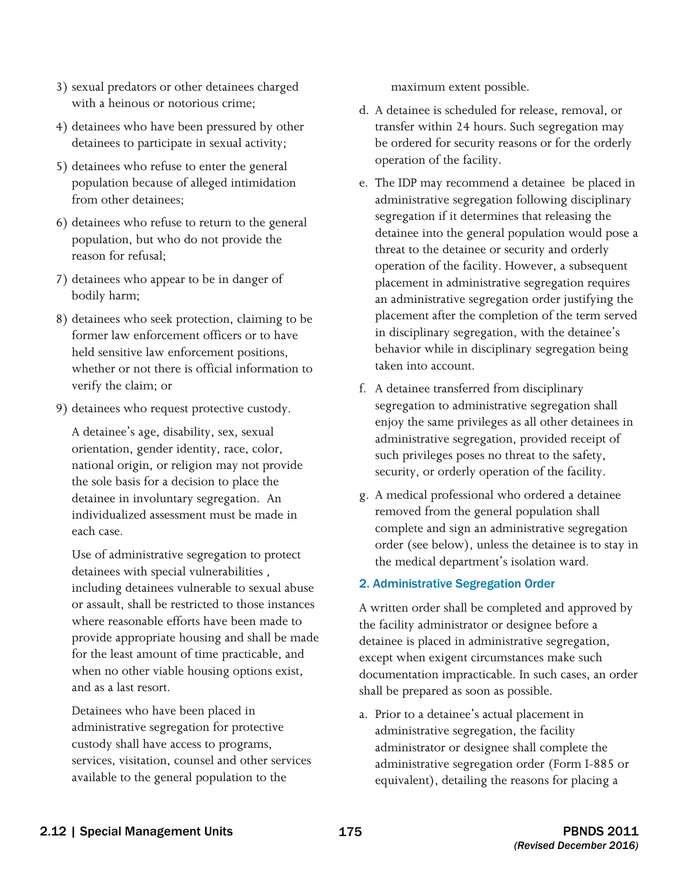- 3) sexual predators or other detainees charged with a heinous or notorious crime;
- 4) detainees who have been pressured by other detainees to participate in sexual activity;
- 5) detainees who refuse to enter the general population because of alleged intimidation from other detainees;
- 6) detainees who refuse to return to the general population, but who do not provide the reason for refusal;
- 7) detainees who appear to be in danger of bodily harm;
- 8) detainees who seek protection, claiming to be former law enforcement officers or to have held sensitive law enforcement positions, whether or not there is official information to verify the claim; or
- 9) detainees who request protective custody.

each case. A detainee's age, disability, sex, sexual orientation, gender identity, race, color, national origin, or religion may not provide the sole basis for a decision to place the detainee in involuntary segregation. An individualized assessment must be made in

Use of administrative segregation to protect detainees with special vulnerabilities , including detainees vulnerable to sexual abuse or assault, shall be restricted to those instances where reasonable efforts have been made to provide appropriate housing and shall be made for the least amount of time practicable, and when no other viable housing options exist, and as a last resort.

Detainees who have been placed in administrative segregation for protective custody shall have access to programs, services, visitation, counsel and other services available to the general population to the

maximum extent possible.

- d. A detainee is scheduled for release, removal, or transfer within 24 hours. Such segregation may be ordered for security reasons or for the orderly operation of the facility.
- taken into account. e. The IDP may recommend a detainee be placed in administrative segregation following disciplinary segregation if it determines that releasing the detainee into the general population would pose a threat to the detainee or security and orderly operation of the facility. However, a subsequent placement in administrative segregation requires an administrative segregation order justifying the placement after the completion of the term served in disciplinary segregation, with the detainee's behavior while in disciplinary segregation being
- f. A detainee transferred from disciplinary segregation to administrative segregation shall enjoy the same privileges as all other detainees in administrative segregation, provided receipt of such privileges poses no threat to the safety, security, or orderly operation of the facility.
- g. A medical professional who ordered a detainee removed from the general population shall complete and sign an administrative segregation order (see below), unless the detainee is to stay in the medical department's isolation ward.

#### 2. Administrative Segregation Order

A written order shall be completed and approved by the facility administrator or designee before a detainee is placed in administrative segregation, except when exigent circumstances make such documentation impracticable. In such cases, an order shall be prepared as soon as possible.

a. Prior to a detainee's actual placement in administrative segregation, the facility administrator or designee shall complete the administrative segregation order (Form I-885 or equivalent), detailing the reasons for placing a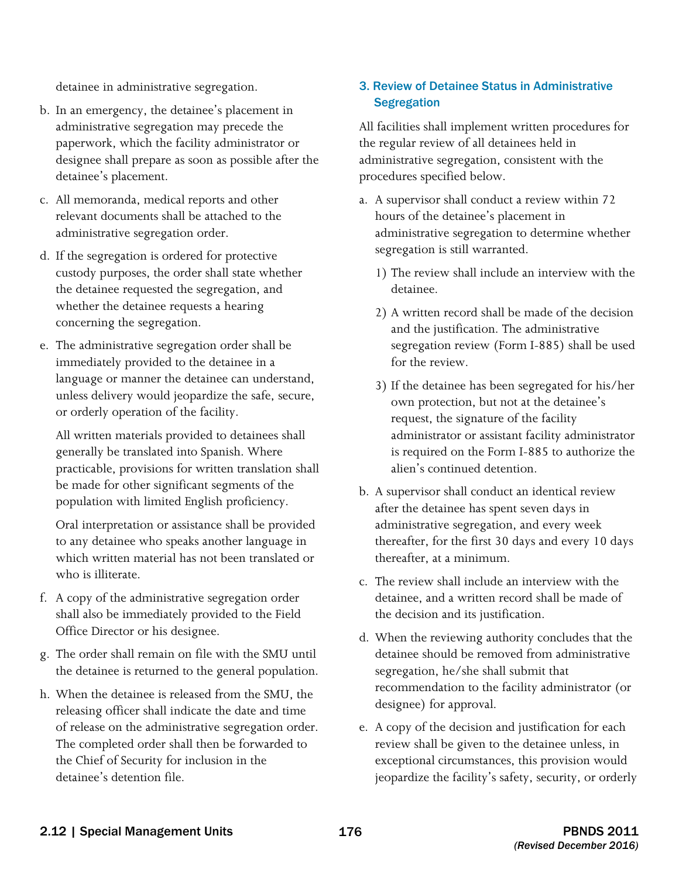detainee in administrative segregation.

- b. In an emergency, the detainee's placement in administrative segregation may precede the paperwork, which the facility administrator or designee shall prepare as soon as possible after the detainee's placement.
- c. All memoranda, medical reports and other relevant documents shall be attached to the administrative segregation order.
- d. If the segregation is ordered for protective custody purposes, the order shall state whether the detainee requested the segregation, and whether the detainee requests a hearing concerning the segregation.
- e. The administrative segregation order shall be immediately provided to the detainee in a language or manner the detainee can understand, unless delivery would jeopardize the safe, secure, or orderly operation of the facility.

All written materials provided to detainees shall generally be translated into Spanish. Where practicable, provisions for written translation shall be made for other significant segments of the population with limited English proficiency.

Oral interpretation or assistance shall be provided to any detainee who speaks another language in which written material has not been translated or who is illiterate.

- f. A copy of the administrative segregation order shall also be immediately provided to the Field Office Director or his designee.
- g. The order shall remain on file with the SMU until the detainee is returned to the general population.
- h. When the detainee is released from the SMU, the releasing officer shall indicate the date and time of release on the administrative segregation order. The completed order shall then be forwarded to the Chief of Security for inclusion in the detainee's detention file.

#### 3. Review of Detainee Status in Administrative **Segregation**

All facilities shall implement written procedures for the regular review of all detainees held in administrative segregation, consistent with the procedures specified below.

- a. A supervisor shall conduct a review within 72 hours of the detainee's placement in administrative segregation to determine whether segregation is still warranted.
	- 1) The review shall include an interview with the detainee.
	- 2) A written record shall be made of the decision and the justification. The administrative segregation review (Form I-885) shall be used for the review.
	- 3) If the detainee has been segregated for his/her own protection, but not at the detainee's request, the signature of the facility administrator or assistant facility administrator is required on the Form I-885 to authorize the alien's continued detention.
- b. A supervisor shall conduct an identical review after the detainee has spent seven days in administrative segregation, and every week thereafter, for the first 30 days and every 10 days thereafter, at a minimum.
- c. The review shall include an interview with the detainee, and a written record shall be made of the decision and its justification.
- d. When the reviewing authority concludes that the detainee should be removed from administrative segregation, he/she shall submit that recommendation to the facility administrator (or designee) for approval.
- e. A copy of the decision and justification for each review shall be given to the detainee unless, in exceptional circumstances, this provision would jeopardize the facility's safety, security, or orderly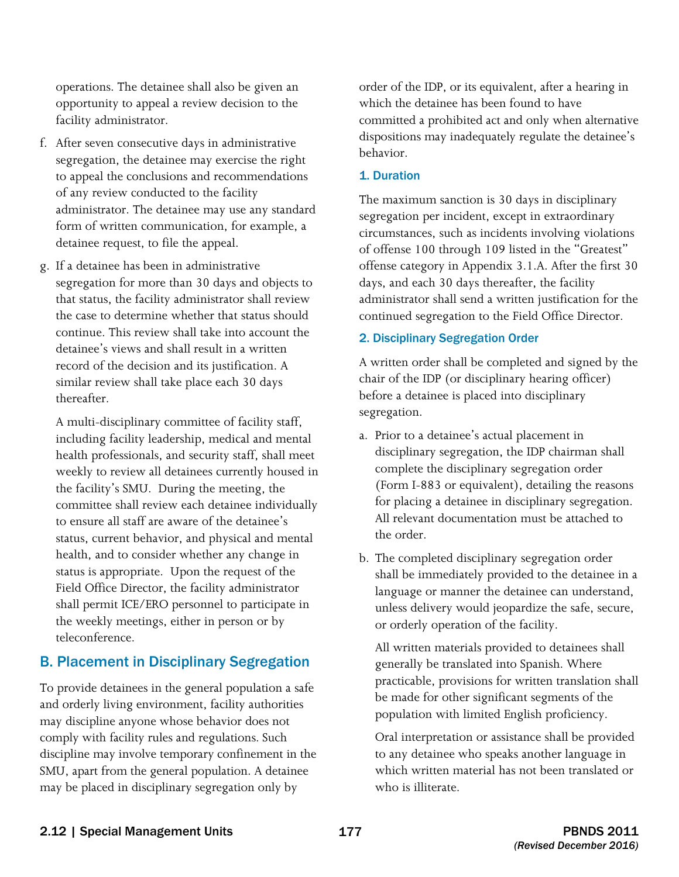facility administrator. operations. The detainee shall also be given an opportunity to appeal a review decision to the

- f. After seven consecutive days in administrative segregation, the detainee may exercise the right to appeal the conclusions and recommendations of any review conducted to the facility administrator. The detainee may use any standard form of written communication, for example, a detainee request, to file the appeal.
- g. If a detainee has been in administrative segregation for more than 30 days and objects to that status, the facility administrator shall review the case to determine whether that status should continue. This review shall take into account the detainee's views and shall result in a written record of the decision and its justification. A similar review shall take place each 30 days thereafter.

 status is appropriate. Upon the request of the A multi-disciplinary committee of facility staff, including facility leadership, medical and mental health professionals, and security staff, shall meet weekly to review all detainees currently housed in the facility's SMU. During the meeting, the committee shall review each detainee individually to ensure all staff are aware of the detainee's status, current behavior, and physical and mental health, and to consider whether any change in Field Office Director, the facility administrator shall permit ICE/ERO personnel to participate in the weekly meetings, either in person or by teleconference.

### B. Placement in Disciplinary Segregation

 To provide detainees in the general population a safe and orderly living environment, facility authorities comply with facility rules and regulations. Such discipline may involve temporary confinement in the may discipline anyone whose behavior does not SMU, apart from the general population. A detainee may be placed in disciplinary segregation only by

 order of the IDP, or its equivalent, after a hearing in which the detainee has been found to have committed a prohibited act and only when alternative dispositions may inadequately regulate the detainee's behavior.

#### 1. Duration

The maximum sanction is 30 days in disciplinary segregation per incident, except in extraordinary circumstances, such as incidents involving violations of offense 100 through 109 listed in the "Greatest" offense category in Appendix 3.1.A. After the first 30 days, and each 30 days thereafter, the facility administrator shall send a written justification for the continued segregation to the Field Office Director.

#### 2. Disciplinary Segregation Order

A written order shall be completed and signed by the chair of the IDP (or disciplinary hearing officer) before a detainee is placed into disciplinary segregation.

- a. Prior to a detainee's actual placement in disciplinary segregation, the IDP chairman shall complete the disciplinary segregation order (Form I-883 or equivalent), detailing the reasons for placing a detainee in disciplinary segregation. All relevant documentation must be attached to the order.
- b. The completed disciplinary segregation order shall be immediately provided to the detainee in a language or manner the detainee can understand, unless delivery would jeopardize the safe, secure, or orderly operation of the facility.

All written materials provided to detainees shall generally be translated into Spanish. Where practicable, provisions for written translation shall be made for other significant segments of the population with limited English proficiency.

Oral interpretation or assistance shall be provided to any detainee who speaks another language in which written material has not been translated or who is illiterate.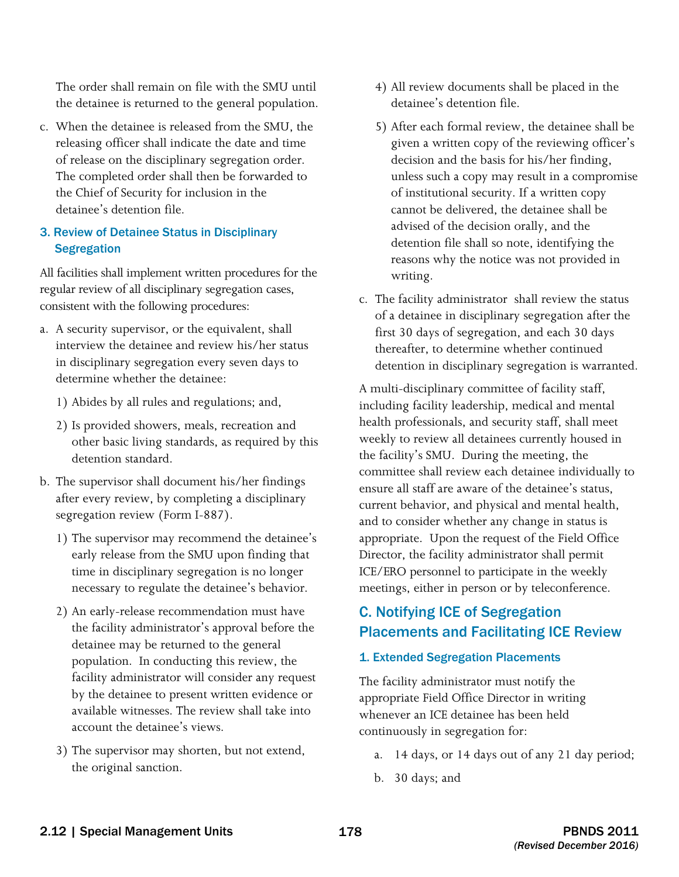The order shall remain on file with the SMU until the detainee is returned to the general population.

c. When the detainee is released from the SMU, the releasing officer shall indicate the date and time of release on the disciplinary segregation order. The completed order shall then be forwarded to the Chief of Security for inclusion in the detainee's detention file.

#### 3. Review of Detainee Status in Disciplinary **Segregation**

All facilities shall implement written procedures for the regular review of all disciplinary segregation cases, consistent with the following procedures:

- a. A security supervisor, or the equivalent, shall interview the detainee and review his/her status in disciplinary segregation every seven days to determine whether the detainee:
	- 1) Abides by all rules and regulations; and,
	- 2) Is provided showers, meals, recreation and other basic living standards, as required by this detention standard.
- b. The supervisor shall document his/her findings after every review, by completing a disciplinary segregation review (Form I-887).
	- 1) The supervisor may recommend the detainee's early release from the SMU upon finding that time in disciplinary segregation is no longer necessary to regulate the detainee's behavior.
	- 2) An early-release recommendation must have the facility administrator's approval before the detainee may be returned to the general population. In conducting this review, the facility administrator will consider any request by the detainee to present written evidence or available witnesses. The review shall take into account the detainee's views.
	- 3) The supervisor may shorten, but not extend, the original sanction.
- 4) All review documents shall be placed in the detainee's detention file.
- 5) After each formal review, the detainee shall be given a written copy of the reviewing officer's decision and the basis for his/her finding, unless such a copy may result in a compromise of institutional security. If a written copy cannot be delivered, the detainee shall be advised of the decision orally, and the detention file shall so note, identifying the reasons why the notice was not provided in writing.
- c. The facility administrator shall review the status of a detainee in disciplinary segregation after the first 30 days of segregation, and each 30 days thereafter, to determine whether continued detention in disciplinary segregation is warranted.

 committee shall review each detainee individually to A multi-disciplinary committee of facility staff, including facility leadership, medical and mental health professionals, and security staff, shall meet weekly to review all detainees currently housed in the facility's SMU. During the meeting, the ensure all staff are aware of the detainee's status, current behavior, and physical and mental health, and to consider whether any change in status is appropriate. Upon the request of the Field Office Director, the facility administrator shall permit ICE/ERO personnel to participate in the weekly meetings, either in person or by teleconference.

## C. Notifying ICE of Segregation Placements and Facilitating ICE Review

#### 1. Extended Segregation Placements

The facility administrator must notify the appropriate Field Office Director in writing whenever an ICE detainee has been held continuously in segregation for:

- a. 14 days, or 14 days out of any 21 day period;
- b. 30 days; and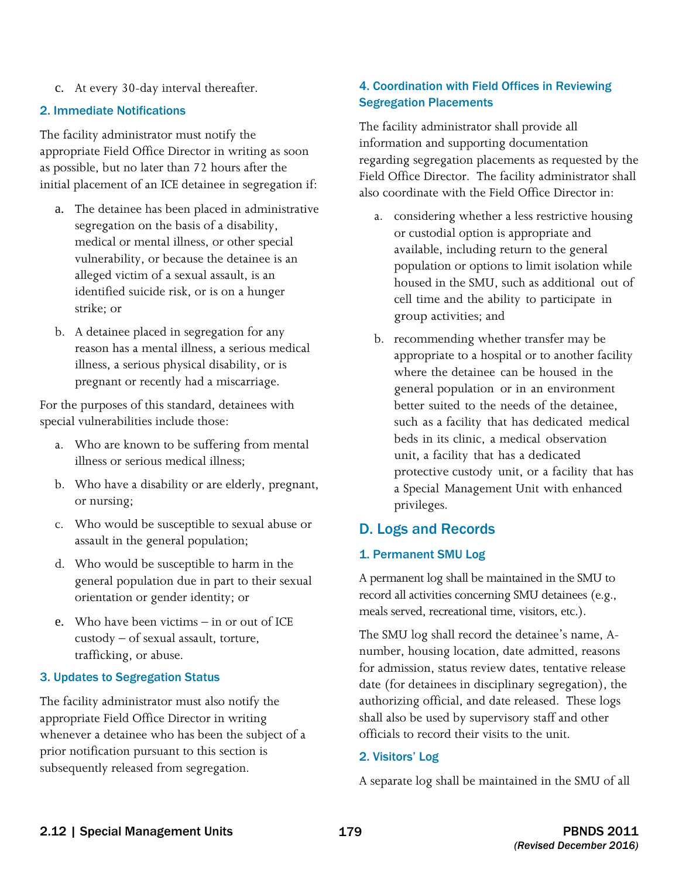c. At every 30-day interval thereafter.

#### 2. Immediate Notifications

The facility administrator must notify the appropriate Field Office Director in writing as soon as possible, but no later than 72 hours after the initial placement of an ICE detainee in segregation if:

- a. The detainee has been placed in administrative segregation on the basis of a disability, medical or mental illness, or other special vulnerability, or because the detainee is an alleged victim of a sexual assault, is an identified suicide risk, or is on a hunger strike; or
- b. A detainee placed in segregation for any reason has a mental illness, a serious medical illness, a serious physical disability, or is pregnant or recently had a miscarriage.

For the purposes of this standard, detainees with special vulnerabilities include those:

- a. Who are known to be suffering from mental illness or serious medical illness;
- b. Who have a disability or are elderly, pregnant, or nursing;
- c. Who would be susceptible to sexual abuse or assault in the general population;
- d. Who would be susceptible to harm in the general population due in part to their sexual orientation or gender identity; or
- e. Who have been victims in or out of ICE custody – of sexual assault, torture, trafficking, or abuse.

#### 3. Updates to Segregation Status

 appropriate Field Office Director in writing The facility administrator must also notify the whenever a detainee who has been the subject of a prior notification pursuant to this section is subsequently released from segregation.

#### 4. Coordination with Field Offices in Reviewing Segregation Placements

 Field Office Director. The facility administrator shall also coordinate with the Field Office Director in: The facility administrator shall provide all information and supporting documentation regarding segregation placements as requested by the

- housed in the SMU, such as additional out of cell time and the ability to participate in group activities; and a. considering whether a less restrictive housing or custodial option is appropriate and available, including return to the general population or options to limit isolation while
- where the detainee can be housed in the general population or in an environment better suited to the needs of the detainee, such as a facility that has dedicated medical beds in its clinic, a medical observation unit, a facility that has a dedicated protective custody unit, or a facility that has a Special Management Unit with enhanced b. recommending whether transfer may be appropriate to a hospital or to another facility privileges.

#### D. Logs and Records

#### 1. Permanent SMU Log

 A permanent log shall be maintained in the SMU to record all activities concerning SMU detainees (e.g., meals served, recreational time, visitors, etc.).

The SMU log shall record the detainee's name, Anumber, housing location, date admitted, reasons for admission, status review dates, tentative release date (for detainees in disciplinary segregation), the authorizing official, and date released. These logs shall also be used by supervisory staff and other officials to record their visits to the unit.

#### 2. Visitors' Log

A separate log shall be maintained in the SMU of all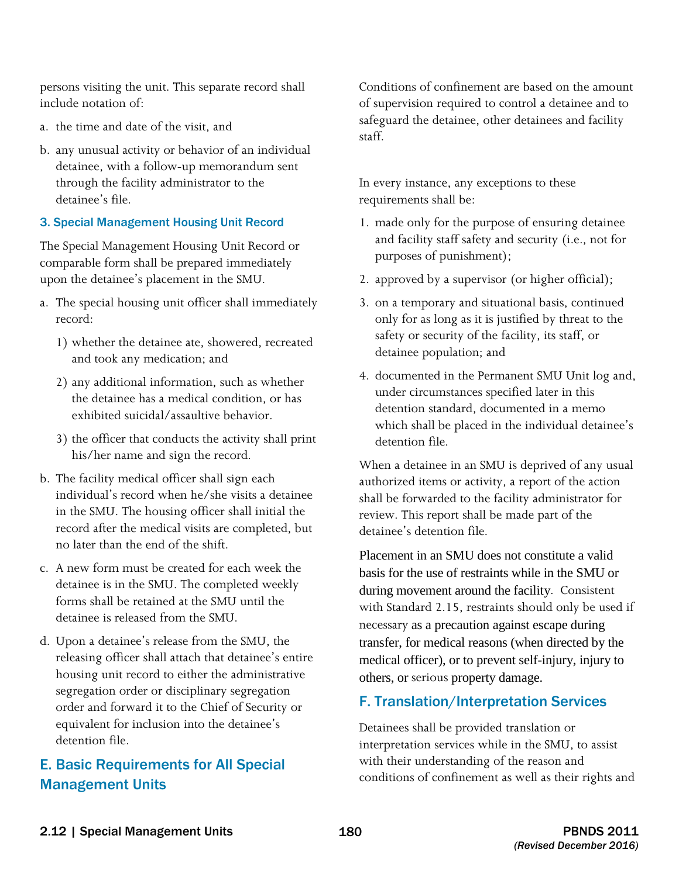include notation of: persons visiting the unit. This separate record shall

- a. the time and date of the visit, and
- b. any unusual activity or behavior of an individual detainee, with a follow-up memorandum sent through the facility administrator to the detainee's file.

#### 3. Special Management Housing Unit Record

The Special Management Housing Unit Record or comparable form shall be prepared immediately upon the detainee's placement in the SMU.

- a. The special housing unit officer shall immediately record:
	- 1) whether the detainee ate, showered, recreated and took any medication; and
	- 2) any additional information, such as whether the detainee has a medical condition, or has exhibited suicidal/assaultive behavior.
	- 3) the officer that conducts the activity shall print his/her name and sign the record.
- b. The facility medical officer shall sign each individual's record when he/she visits a detainee in the SMU. The housing officer shall initial the record after the medical visits are completed, but no later than the end of the shift.
- c. A new form must be created for each week the detainee is in the SMU. The completed weekly forms shall be retained at the SMU until the detainee is released from the SMU.
- d. Upon a detainee's release from the SMU, the releasing officer shall attach that detainee's entire housing unit record to either the administrative segregation order or disciplinary segregation order and forward it to the Chief of Security or equivalent for inclusion into the detainee's detention file.

## E. Basic Requirements for All Special Management Units

Conditions of confinement are based on the amount of supervision required to control a detainee and to safeguard the detainee, other detainees and facility staff.

In every instance, any exceptions to these requirements shall be:

- 1. made only for the purpose of ensuring detainee and facility staff safety and security (i.e., not for purposes of punishment);
- 2. approved by a supervisor (or higher official);
- 3. on a temporary and situational basis, continued only for as long as it is justified by threat to the safety or security of the facility, its staff, or detainee population; and
- 4. documented in the Permanent SMU Unit log and, under circumstances specified later in this detention standard, documented in a memo which shall be placed in the individual detainee's detention file.

When a detainee in an SMU is deprived of any usual authorized items or activity, a report of the action shall be forwarded to the facility administrator for review. This report shall be made part of the detainee's detention file.

 during movement around the facility. Consistent transfer, for medical reasons (when directed by the others, or serious property damage. Placement in an SMU does not constitute a valid basis for the use of restraints while in the SMU or with Standard 2.15, restraints should only be used if necessary as a precaution against escape during medical officer), or to prevent self-injury, injury to

### F. Translation/Interpretation Services

Detainees shall be provided translation or interpretation services while in the SMU, to assist with their understanding of the reason and conditions of confinement as well as their rights and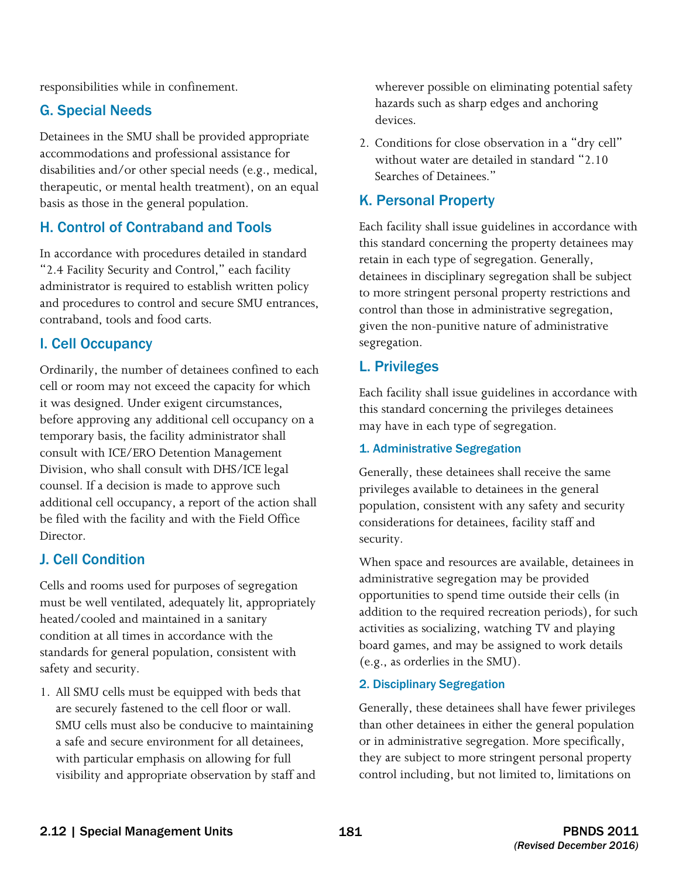responsibilities while in confinement.

#### G. Special Needs

Detainees in the SMU shall be provided appropriate accommodations and professional assistance for disabilities and/or other special needs (e.g., medical, therapeutic, or mental health treatment), on an equal basis as those in the general population.

### H. Control of Contraband and Tools

In accordance with procedures detailed in standard "2.4 Facility Security and Control," each facility administrator is required to establish written policy and procedures to control and secure SMU entrances, contraband, tools and food carts.

### I. Cell Occupancy

 before approving any additional cell occupancy on a Ordinarily, the number of detainees confined to each cell or room may not exceed the capacity for which it was designed. Under exigent circumstances, temporary basis, the facility administrator shall consult with ICE/ERO Detention Management Division, who shall consult with DHS/ICE legal counsel. If a decision is made to approve such additional cell occupancy, a report of the action shall be filed with the facility and with the Field Office Director.

### J. Cell Condition

 Cells and rooms used for purposes of segregation must be well ventilated, adequately lit, appropriately heated/cooled and maintained in a sanitary condition at all times in accordance with the standards for general population, consistent with safety and security.

1. All SMU cells must be equipped with beds that are securely fastened to the cell floor or wall. SMU cells must also be conducive to maintaining a safe and secure environment for all detainees, with particular emphasis on allowing for full visibility and appropriate observation by staff and wherever possible on eliminating potential safety hazards such as sharp edges and anchoring devices.

2. Conditions for close observation in a "dry cell" without water are detailed in standard "2.10 Searches of Detainees."

## K. Personal Property

Each facility shall issue guidelines in accordance with this standard concerning the property detainees may retain in each type of segregation. Generally, detainees in disciplinary segregation shall be subject to more stringent personal property restrictions and control than those in administrative segregation, given the non-punitive nature of administrative segregation.

#### L. Privileges

Each facility shall issue guidelines in accordance with this standard concerning the privileges detainees may have in each type of segregation.

#### 1. Administrative Segregation

Generally, these detainees shall receive the same privileges available to detainees in the general population, consistent with any safety and security considerations for detainees, facility staff and security.

When space and resources are available, detainees in administrative segregation may be provided opportunities to spend time outside their cells (in addition to the required recreation periods), for such activities as socializing, watching TV and playing board games, and may be assigned to work details (e.g., as orderlies in the SMU).

#### 2. Disciplinary Segregation

Generally, these detainees shall have fewer privileges than other detainees in either the general population or in administrative segregation. More specifically, they are subject to more stringent personal property control including, but not limited to, limitations on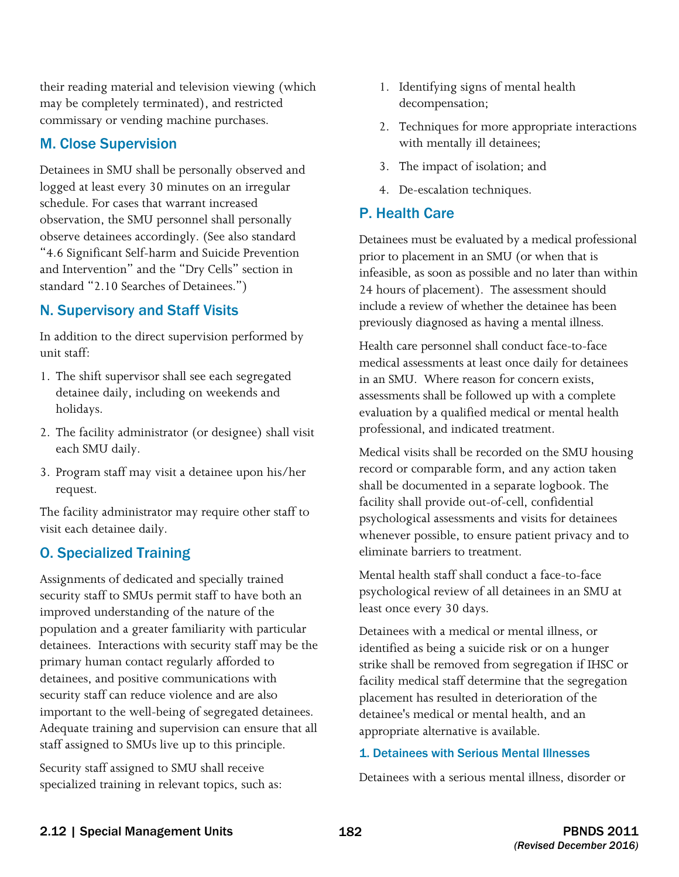their reading material and television viewing (which may be completely terminated), and restricted commissary or vending machine purchases.

#### M. Close Supervision

Detainees in SMU shall be personally observed and logged at least every 30 minutes on an irregular schedule. For cases that warrant increased observation, the SMU personnel shall personally observe detainees accordingly. (See also standard "4.6 Significant Self-harm and Suicide Prevention and Intervention" and the "Dry Cells" section in standard "2.10 Searches of Detainees.")

#### N. Supervisory and Staff Visits

In addition to the direct supervision performed by unit staff:

- 1. The shift supervisor shall see each segregated detainee daily, including on weekends and holidays.
- 2. The facility administrator (or designee) shall visit each SMU daily.
- 3. Program staff may visit a detainee upon his/her request.

The facility administrator may require other staff to visit each detainee daily.

### O. Specialized Training

 detainees. Interactions with security staff may be the Assignments of dedicated and specially trained security staff to SMUs permit staff to have both an improved understanding of the nature of the population and a greater familiarity with particular primary human contact regularly afforded to detainees, and positive communications with security staff can reduce violence and are also important to the well-being of segregated detainees. Adequate training and supervision can ensure that all staff assigned to SMUs live up to this principle.

Security staff assigned to SMU shall receive specialized training in relevant topics, such as:

- 1. Identifying signs of mental health decompensation;
- 2. Techniques for more appropriate interactions with mentally ill detainees;
- 3. The impact of isolation; and
- 4. De-escalation techniques.

#### P. Health Care

 24 hours of placement). The assessment should Detainees must be evaluated by a medical professional prior to placement in an SMU (or when that is infeasible, as soon as possible and no later than within include a review of whether the detainee has been previously diagnosed as having a mental illness.

 medical assessments at least once daily for detainees in an SMU. Where reason for concern exists, assessments shall be followed up with a complete Health care personnel shall conduct face-to-face evaluation by a qualified medical or mental health professional, and indicated treatment.

Medical visits shall be recorded on the SMU housing record or comparable form, and any action taken shall be documented in a separate logbook. The facility shall provide out-of-cell, confidential psychological assessments and visits for detainees whenever possible, to ensure patient privacy and to eliminate barriers to treatment.

Mental health staff shall conduct a face-to-face psychological review of all detainees in an SMU at least once every 30 days.

Detainees with a medical or mental illness, or identified as being a suicide risk or on a hunger strike shall be removed from segregation if IHSC or facility medical staff determine that the segregation placement has resulted in deterioration of the detainee's medical or mental health, and an appropriate alternative is available.

#### 1. Detainees with Serious Mental Illnesses

Detainees with a serious mental illness, disorder or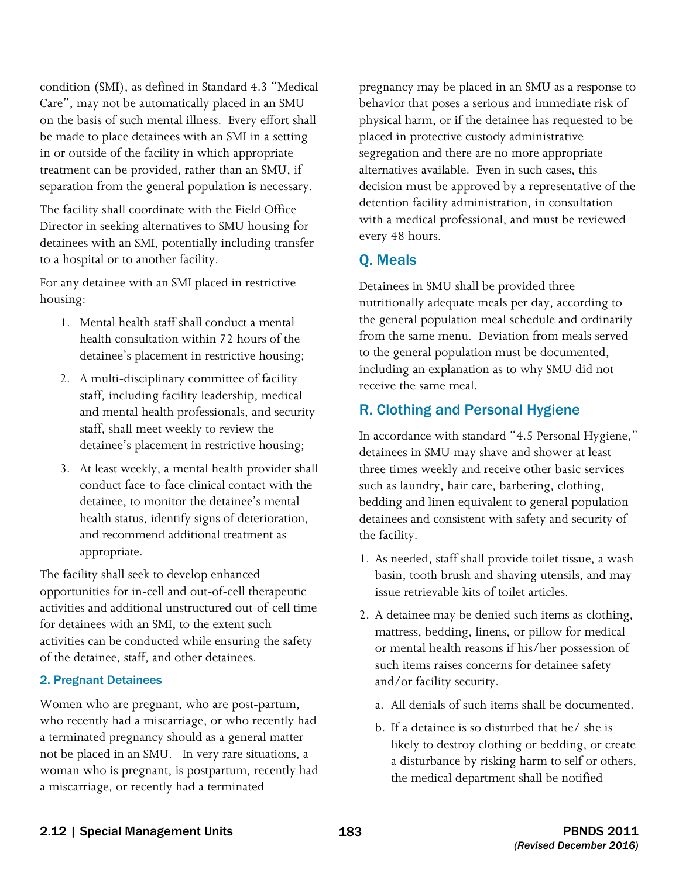on the basis of such mental illness. Every effort shall be made to place detainees with an SMI in a setting condition (SMI), as defined in Standard 4.3 "Medical Care", may not be automatically placed in an SMU in or outside of the facility in which appropriate treatment can be provided, rather than an SMU, if separation from the general population is necessary.

The facility shall coordinate with the Field Office Director in seeking alternatives to SMU housing for detainees with an SMI, potentially including transfer to a hospital or to another facility.

 For any detainee with an SMI placed in restrictive housing:

- health consultation within 72 hours of the 1. Mental health staff shall conduct a mental detainee's placement in restrictive housing;
- 2. A multi-disciplinary committee of facility staff, including facility leadership, medical and mental health professionals, and security staff, shall meet weekly to review the detainee's placement in restrictive housing;
- 3. At least weekly, a mental health provider shall and recommend additional treatment as conduct face-to-face clinical contact with the detainee, to monitor the detainee's mental health status, identify signs of deterioration, appropriate.

 activities can be conducted while ensuring the safety of the detainee, staff, and other detainees. The facility shall seek to develop enhanced opportunities for in-cell and out-of-cell therapeutic activities and additional unstructured out-of-cell time for detainees with an SMI, to the extent such

#### 2. Pregnant Detainees

Women who are pregnant, who are post-partum, who recently had a miscarriage, or who recently had a terminated pregnancy should as a general matter not be placed in an SMU. In very rare situations, a woman who is pregnant, is postpartum, recently had a miscarriage, or recently had a terminated

 every 48 hours. pregnancy may be placed in an SMU as a response to behavior that poses a serious and immediate risk of physical harm, or if the detainee has requested to be placed in protective custody administrative segregation and there are no more appropriate alternatives available. Even in such cases, this decision must be approved by a representative of the detention facility administration, in consultation with a medical professional, and must be reviewed

#### Q. Meals

 receive the same meal. Detainees in SMU shall be provided three nutritionally adequate meals per day, according to the general population meal schedule and ordinarily from the same menu. Deviation from meals served to the general population must be documented, including an explanation as to why SMU did not

### R. Clothing and Personal Hygiene

In accordance with standard "4.5 Personal Hygiene," detainees in SMU may shave and shower at least three times weekly and receive other basic services such as laundry, hair care, barbering, clothing, bedding and linen equivalent to general population detainees and consistent with safety and security of the facility.

- 1. As needed, staff shall provide toilet tissue, a wash basin, tooth brush and shaving utensils, and may issue retrievable kits of toilet articles.
- 2. A detainee may be denied such items as clothing, mattress, bedding, linens, or pillow for medical or mental health reasons if his/her possession of such items raises concerns for detainee safety and/or facility security.
	- a. All denials of such items shall be documented.
	- b. If a detainee is so disturbed that he/ she is likely to destroy clothing or bedding, or create a disturbance by risking harm to self or others, the medical department shall be notified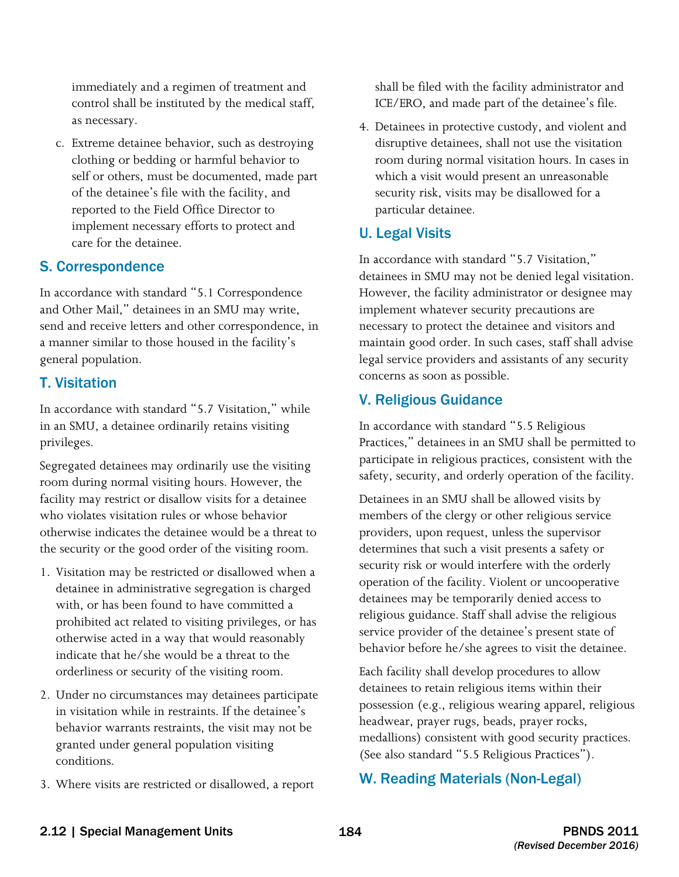immediately and a regimen of treatment and control shall be instituted by the medical staff, as necessary.

c. Extreme detainee behavior, such as destroying clothing or bedding or harmful behavior to self or others, must be documented, made part of the detainee's file with the facility, and reported to the Field Office Director to implement necessary efforts to protect and care for the detainee.

#### S. Correspondence

In accordance with standard "5.1 Correspondence and Other Mail," detainees in an SMU may write, send and receive letters and other correspondence, in a manner similar to those housed in the facility's general population.

## T. Visitation

In accordance with standard "5.7 Visitation," while in an SMU, a detainee ordinarily retains visiting privileges.

 otherwise indicates the detainee would be a threat to Segregated detainees may ordinarily use the visiting room during normal visiting hours. However, the facility may restrict or disallow visits for a detainee who violates visitation rules or whose behavior the security or the good order of the visiting room.

- 1. Visitation may be restricted or disallowed when a detainee in administrative segregation is charged with, or has been found to have committed a prohibited act related to visiting privileges, or has otherwise acted in a way that would reasonably indicate that he/she would be a threat to the orderliness or security of the visiting room.
- 2. Under no circumstances may detainees participate in visitation while in restraints. If the detainee's behavior warrants restraints, the visit may not be granted under general population visiting conditions.
- 3. Where visits are restricted or disallowed, a report

shall be filed with the facility administrator and ICE/ERO, and made part of the detainee's file.

4. Detainees in protective custody, and violent and disruptive detainees, shall not use the visitation room during normal visitation hours. In cases in which a visit would present an unreasonable security risk, visits may be disallowed for a particular detainee.

## U. Legal Visits

In accordance with standard "5.7 Visitation," detainees in SMU may not be denied legal visitation. However, the facility administrator or designee may implement whatever security precautions are necessary to protect the detainee and visitors and maintain good order. In such cases, staff shall advise legal service providers and assistants of any security concerns as soon as possible.

## V. Religious Guidance

In accordance with standard "5.5 Religious Practices," detainees in an SMU shall be permitted to participate in religious practices, consistent with the safety, security, and orderly operation of the facility.

Detainees in an SMU shall be allowed visits by members of the clergy or other religious service providers, upon request, unless the supervisor determines that such a visit presents a safety or security risk or would interfere with the orderly operation of the facility. Violent or uncooperative detainees may be temporarily denied access to religious guidance. Staff shall advise the religious service provider of the detainee's present state of behavior before he/she agrees to visit the detainee.

Each facility shall develop procedures to allow detainees to retain religious items within their possession (e.g., religious wearing apparel, religious headwear, prayer rugs, beads, prayer rocks, medallions) consistent with good security practices. (See also standard "5.5 Religious Practices").

## W. Reading Materials (Non-Legal)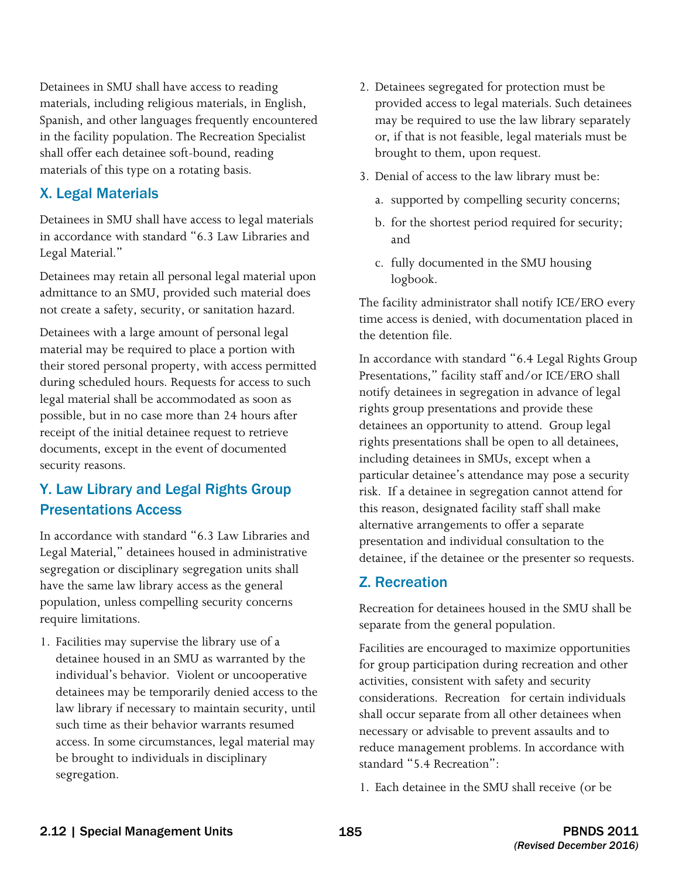Detainees in SMU shall have access to reading materials, including religious materials, in English, Spanish, and other languages frequently encountered in the facility population. The Recreation Specialist shall offer each detainee soft-bound, reading materials of this type on a rotating basis.

#### X. Legal Materials

Detainees in SMU shall have access to legal materials in accordance with standard "6.3 Law Libraries and Legal Material."

Detainees may retain all personal legal material upon admittance to an SMU, provided such material does not create a safety, security, or sanitation hazard.

 material may be required to place a portion with Detainees with a large amount of personal legal their stored personal property, with access permitted during scheduled hours. Requests for access to such legal material shall be accommodated as soon as possible, but in no case more than 24 hours after receipt of the initial detainee request to retrieve documents, except in the event of documented security reasons.

## Y. Law Library and Legal Rights Group Presentations Access

In accordance with standard "6.3 Law Libraries and Legal Material," detainees housed in administrative segregation or disciplinary segregation units shall have the same law library access as the general population, unless compelling security concerns require limitations.

1. Facilities may supervise the library use of a detainee housed in an SMU as warranted by the individual's behavior. Violent or uncooperative detainees may be temporarily denied access to the law library if necessary to maintain security, until such time as their behavior warrants resumed access. In some circumstances, legal material may be brought to individuals in disciplinary segregation.

- 2. Detainees segregated for protection must be provided access to legal materials. Such detainees may be required to use the law library separately or, if that is not feasible, legal materials must be brought to them, upon request.
- 3. Denial of access to the law library must be:
	- a. supported by compelling security concerns;
	- b. for the shortest period required for security; and
	- c. fully documented in the SMU housing logbook.

The facility administrator shall notify ICE/ERO every time access is denied, with documentation placed in the detention file.

 particular detainee's attendance may pose a security In accordance with standard "6.4 Legal Rights Group Presentations," facility staff and/or ICE/ERO shall notify detainees in segregation in advance of legal rights group presentations and provide these detainees an opportunity to attend. Group legal rights presentations shall be open to all detainees, including detainees in SMUs, except when a risk. If a detainee in segregation cannot attend for this reason, designated facility staff shall make alternative arrangements to offer a separate presentation and individual consultation to the detainee, if the detainee or the presenter so requests.

#### Z. Recreation

Recreation for detainees housed in the SMU shall be separate from the general population.

 considerations. Recreation for certain individuals shall occur separate from all other detainees when Facilities are encouraged to maximize opportunities for group participation during recreation and other activities, consistent with safety and security necessary or advisable to prevent assaults and to reduce management problems. In accordance with standard "5.4 Recreation":

1. Each detainee in the SMU shall receive (or be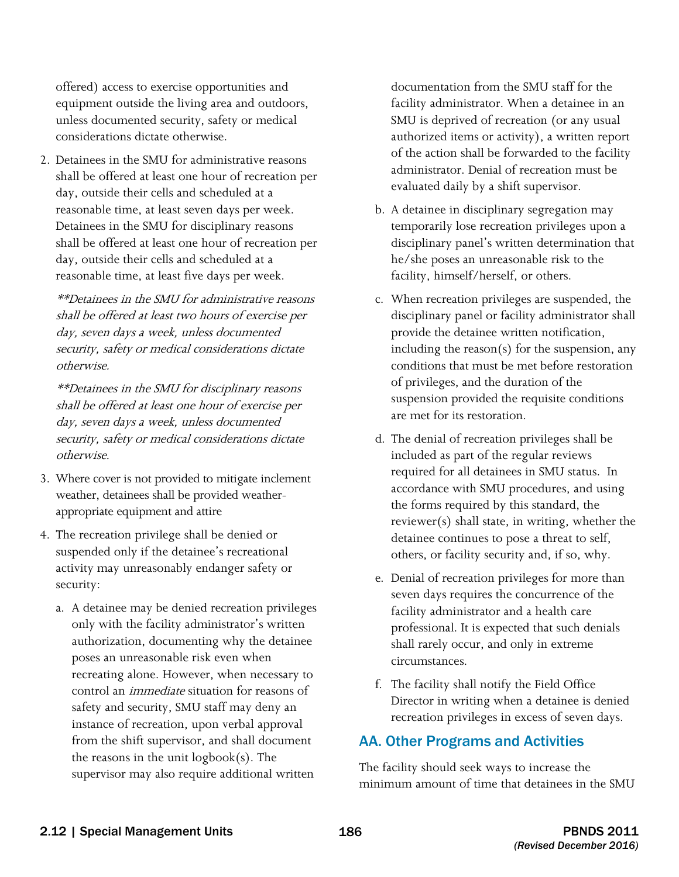considerations dictate otherwise. offered) access to exercise opportunities and equipment outside the living area and outdoors, unless documented security, safety or medical

2. Detainees in the SMU for administrative reasons. shall be offered at least one hour of recreation per day, outside their cells and scheduled at a reasonable time, at least seven days per week. Detainees in the SMU for disciplinary reasons shall be offered at least one hour of recreation per day, outside their cells and scheduled at a reasonable time, at least five days per week.

\*\*Detainees in the SMU for administrative reasons shall be offered at least two hours of exercise per day, seven days a week, unless documented security, safety or medical considerations dictate otherwise.

 \*\*Detainees in the SMU for disciplinary reasons shall be offered at least one hour of exercise per day, seven days a week, unless documented security, safety or medical considerations dictate otherwise.

- 3. Where cover is not provided to mitigate inclement weather, detainees shall be provided weatherappropriate equipment and attire
- 4. The recreation privilege shall be denied or suspended only if the detainee's recreational activity may unreasonably endanger safety or security:
	- a. A detainee may be denied recreation privileges only with the facility administrator's written authorization, documenting why the detainee poses an unreasonable risk even when recreating alone. However, when necessary to control an immediate situation for reasons of safety and security, SMU staff may deny an instance of recreation, upon verbal approval from the shift supervisor, and shall document the reasons in the unit logbook(s). The supervisor may also require additional written

documentation from the SMU staff for the facility administrator. When a detainee in an SMU is deprived of recreation (or any usual authorized items or activity), a written report of the action shall be forwarded to the facility administrator. Denial of recreation must be evaluated daily by a shift supervisor.

- b. A detainee in disciplinary segregation may temporarily lose recreation privileges upon a disciplinary panel's written determination that he/she poses an unreasonable risk to the facility, himself/herself, or others.
- conditions that must be met before restoration of privileges, and the duration of the c. When recreation privileges are suspended, the disciplinary panel or facility administrator shall provide the detainee written notification, including the reason(s) for the suspension, any suspension provided the requisite conditions are met for its restoration.
- d. The denial of recreation privileges shall be included as part of the regular reviews required for all detainees in SMU status. In accordance with SMU procedures, and using the forms required by this standard, the reviewer(s) shall state, in writing, whether the detainee continues to pose a threat to self, others, or facility security and, if so, why.
- e. Denial of recreation privileges for more than seven days requires the concurrence of the facility administrator and a health care professional. It is expected that such denials shall rarely occur, and only in extreme circumstances.
- f. The facility shall notify the Field Office Director in writing when a detainee is denied recreation privileges in excess of seven days.

## AA. Other Programs and Activities

The facility should seek ways to increase the minimum amount of time that detainees in the SMU